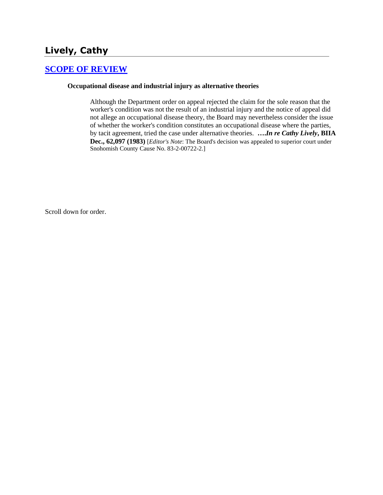# **Lively, Cathy**

## **[SCOPE OF REVIEW](http://www.biia.wa.gov/SDSubjectIndex.html#SCOPE_OF_REVIEW)**

#### **Occupational disease and industrial injury as alternative theories**

Although the Department order on appeal rejected the claim for the sole reason that the worker's condition was not the result of an industrial injury and the notice of appeal did not allege an occupational disease theory, the Board may nevertheless consider the issue of whether the worker's condition constitutes an occupational disease where the parties, by tacit agreement, tried the case under alternative theories. **….***In re Cathy Lively***, BIIA Dec., 62,097 (1983)** [*Editor's Note*: The Board's decision was appealed to superior court under Snohomish County Cause No. 83-2-00722-2.]

Scroll down for order.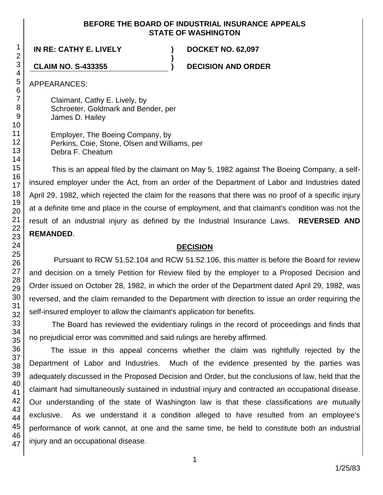#### **BEFORE THE BOARD OF INDUSTRIAL INSURANCE APPEALS STATE OF WASHINGTON**

**)**

**IN RE: CATHY E. LIVELY ) DOCKET NO. 62,097**

**CLAIM NO. S-433355 ) DECISION AND ORDER**

APPEARANCES:

Claimant, Cathy E. Lively, by Schroeter, Goldmark and Bender, per James D. Hailey

Employer, The Boeing Company, by Perkins, Coie, Stone, Olsen and Williams, per Debra F. Cheatum

This is an appeal filed by the claimant on May 5, 1982 against The Boeing Company, a selfinsured employer under the Act, from an order of the Department of Labor and Industries dated April 29, 1982, which rejected the claim for the reasons that there was no proof of a specific injury at a definite time and place in the course of employment, and that claimant's condition was not the result of an industrial injury as defined by the Industrial Insurance Laws. **REVERSED AND REMANDED**.

## **DECISION**

Pursuant to RCW 51.52.104 and RCW 51.52.106, this matter is before the Board for review and decision on a timely Petition for Review filed by the employer to a Proposed Decision and Order issued on October 28, 1982, in which the order of the Department dated April 29, 1982, was reversed, and the claim remanded to the Department with direction to issue an order requiring the self-insured employer to allow the claimant's application for benefits.

The Board has reviewed the evidentiary rulings in the record of proceedings and finds that no prejudicial error was committed and said rulings are hereby affirmed.

The issue in this appeal concerns whether the claim was rightfully rejected by the Department of Labor and Industries. Much of the evidence presented by the parties was adequately discussed in the Proposed Decision and Order, but the conclusions of law, held that the claimant had simultaneously sustained in industrial injury and contracted an occupational disease. Our understanding of the state of Washington law is that these classifications are mutually exclusive. As we understand it a condition alleged to have resulted from an employee's performance of work cannot, at one and the same time, be held to constitute both an industrial injury and an occupational disease.

1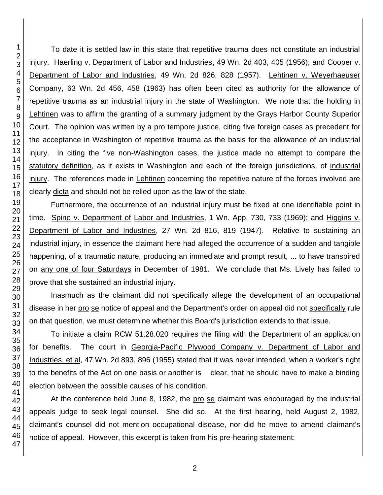To date it is settled law in this state that repetitive trauma does not constitute an industrial injury. Haerling v. Department of Labor and Industries, 49 Wn. 2d 403, 405 (1956); and Cooper v. Department of Labor and Industries, 49 Wn. 2d 826, 828 (1957). Lehtinen v. Weyerhaeuser Company, 63 Wn. 2d 456, 458 (1963) has often been cited as authority for the allowance of repetitive trauma as an industrial injury in the state of Washington. We note that the holding in Lehtinen was to affirm the granting of a summary judgment by the Grays Harbor County Superior Court. The opinion was written by a pro tempore justice, citing five foreign cases as precedent for the acceptance in Washington of repetitive trauma as the basis for the allowance of an industrial injury. In citing the five non-Washington cases, the justice made no attempt to compare the statutory definition, as it exists in Washington and each of the foreign jurisdictions, of industrial injury. The references made in Lehtinen concerning the repetitive nature of the forces involved are clearly dicta and should not be relied upon as the law of the state.

Furthermore, the occurrence of an industrial injury must be fixed at one identifiable point in time. Spino v. Department of Labor and Industries, 1 Wn. App. 730, 733 (1969); and Higgins v. Department of Labor and Industries, 27 Wn. 2d 816, 819 (1947). Relative to sustaining an industrial injury, in essence the claimant here had alleged the occurrence of a sudden and tangible happening, of a traumatic nature, producing an immediate and prompt result, ... to have transpired on any one of four Saturdays in December of 1981. We conclude that Ms. Lively has failed to prove that she sustained an industrial injury.

Inasmuch as the claimant did not specifically allege the development of an occupational disease in her pro se notice of appeal and the Department's order on appeal did not specifically rule on that question, we must determine whether this Board's jurisdiction extends to that issue.

To initiate a claim RCW 51.28.020 requires the filing with the Department of an application for benefits. The court in Georgia-Pacific Plywood Company v. Department of Labor and Industries, et al, 47 Wn. 2d 893, 896 (1955) stated that it was never intended, when a worker's right to the benefits of the Act on one basis or another is clear, that he should have to make a binding election between the possible causes of his condition.

At the conference held June 8, 1982, the pro se claimant was encouraged by the industrial appeals judge to seek legal counsel. She did so. At the first hearing, held August 2, 1982, claimant's counsel did not mention occupational disease, nor did he move to amend claimant's notice of appeal. However, this excerpt is taken from his pre-hearing statement: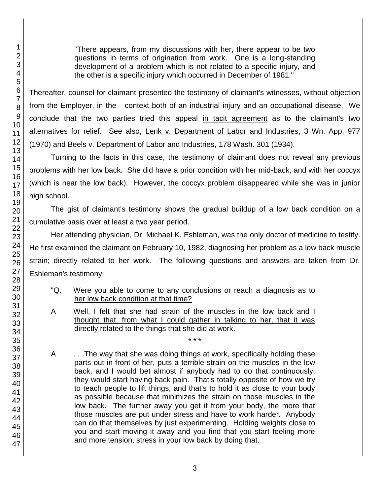"There appears, from my discussions with her, there appear to be two questions in terms of origination from work. One is a long-standing development of a problem which is not related to a specific injury, and the other is a specific injury which occurred in December of 1981."

Thereafter, counsel for claimant presented the testimony of claimant's witnesses, without objection from the Employer, in the context both of an industrial injury and an occupational disease. We conclude that the two parties tried this appeal in tacit agreement as to the claimant's two alternatives for relief. See also, Lenk v. Department of Labor and Industries, 3 Wn. App. 977 (1970) and Beels v. Department of Labor and Industries, 178 Wash. 301 (1934).

Turning to the facts in this case, the testimony of claimant does not reveal any previous problems with her low back. She did have a prior condition with her mid-back, and with her coccyx (which is near the low back). However, the coccyx problem disappeared while she was in junior high school.

The gist of claimant's testimony shows the gradual buildup of a low back condition on a cumulative basis over at least a two year period.

Her attending physician, Dr. Michael K. Eshleman, was the only doctor of medicine to testify. He first examined the claimant on February 10, 1982, diagnosing her problem as a low back muscle strain; directly related to her work. The following questions and answers are taken from Dr. Eshleman's testimony:

- "Q. Were you able to come to any conclusions or reach a diagnosis as to her low back condition at that time?
- A Well, I felt that she had strain of the muscles in the low back and I thought that, from what I could gather in talking to her, that it was directly related to the things that she did at work.

\* \* \*

A ... The way that she was doing things at work, specifically holding these parts out in front of her, puts a terrible strain on the muscles in the low back, and I would bet almost if anybody had to do that continuously, they would start having back pain. That's totally opposite of how we try to teach people to lift things, and that's to hold it as close to your body as possible because that minimizes the strain on those muscles in the low back. The further away you get it from your body, the more that those muscles are put under stress and have to work harder. Anybody can do that themselves by just experimenting. Holding weights close to you and start moving it away and you find that you start feeling more and more tension, stress in your low back by doing that.

1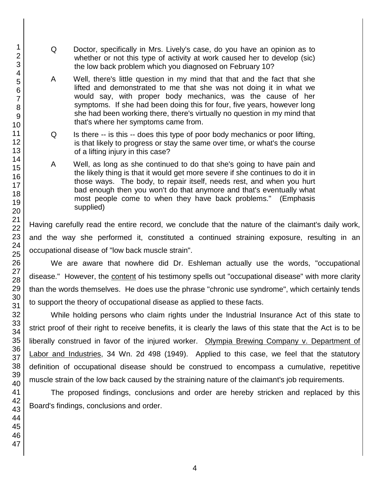- Q Doctor, specifically in Mrs. Lively's case, do you have an opinion as to whether or not this type of activity at work caused her to develop (sic) the low back problem which you diagnosed on February 10?
- A Well, there's little question in my mind that that and the fact that she lifted and demonstrated to me that she was not doing it in what we would say, with proper body mechanics, was the cause of her symptoms. If she had been doing this for four, five years, however long she had been working there, there's virtually no question in my mind that that's where her symptoms came from.
- Q Is there -- is this -- does this type of poor body mechanics or poor lifting, is that likely to progress or stay the same over time, or what's the course of a lifting injury in this case?
- A Well, as long as she continued to do that she's going to have pain and the likely thing is that it would get more severe if she continues to do it in those ways. The body, to repair itself, needs rest, and when you hurt bad enough then you won't do that anymore and that's eventually what most people come to when they have back problems." (Emphasis supplied)

Having carefully read the entire record, we conclude that the nature of the claimant's daily work, and the way she performed it, constituted a continued straining exposure, resulting in an occupational disease of "low back muscle strain".

We are aware that nowhere did Dr. Eshleman actually use the words, "occupational disease." However, the content of his testimony spells out "occupational disease" with more clarity than the words themselves. He does use the phrase "chronic use syndrome", which certainly tends to support the theory of occupational disease as applied to these facts.

While holding persons who claim rights under the Industrial Insurance Act of this state to strict proof of their right to receive benefits, it is clearly the laws of this state that the Act is to be liberally construed in favor of the injured worker. Olympia Brewing Company v. Department of Labor and Industries, 34 Wn. 2d 498 (1949). Applied to this case, we feel that the statutory definition of occupational disease should be construed to encompass a cumulative, repetitive muscle strain of the low back caused by the straining nature of the claimant's job requirements.

The proposed findings, conclusions and order are hereby stricken and replaced by this Board's findings, conclusions and order.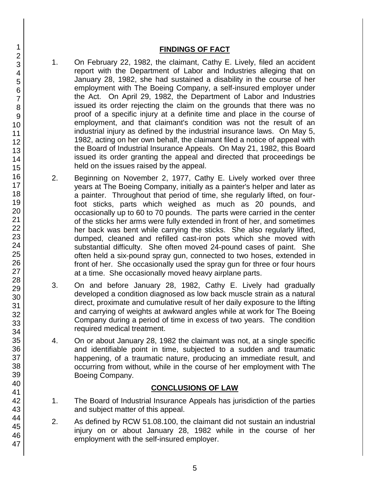#### **FINDINGS OF FACT**

- 1. On February 22, 1982, the claimant, Cathy E. Lively, filed an accident report with the Department of Labor and Industries alleging that on January 28, 1982, she had sustained a disability in the course of her employment with The Boeing Company, a self-insured employer under the Act. On April 29, 1982, the Department of Labor and Industries issued its order rejecting the claim on the grounds that there was no proof of a specific injury at a definite time and place in the course of employment, and that claimant's condition was not the result of an industrial injury as defined by the industrial insurance laws. On May 5, 1982, acting on her own behalf, the claimant filed a notice of appeal with the Board of Industrial Insurance Appeals. On May 21, 1982, this Board issued its order granting the appeal and directed that proceedings be held on the issues raised by the appeal.
- 2. Beginning on November 2, 1977, Cathy E. Lively worked over three years at The Boeing Company, initially as a painter's helper and later as a painter. Throughout that period of time, she regularly lifted, on fourfoot sticks, parts which weighed as much as 20 pounds, and occasionally up to 60 to 70 pounds. The parts were carried in the center of the sticks her arms were fully extended in front of her, and sometimes her back was bent while carrying the sticks. She also regularly lifted, dumped, cleaned and refilled cast-iron pots which she moved with substantial difficulty. She often moved 24-pound cases of paint. She often held a six-pound spray gun, connected to two hoses, extended in front of her. She occasionally used the spray gun for three or four hours at a time. She occasionally moved heavy airplane parts.
- 3. On and before January 28, 1982, Cathy E. Lively had gradually developed a condition diagnosed as low back muscle strain as a natural direct, proximate and cumulative result of her daily exposure to the lifting and carrying of weights at awkward angles while at work for The Boeing Company during a period of time in excess of two years. The condition required medical treatment.
- 4. On or about January 28, 1982 the claimant was not, at a single specific and identifiable point in time, subjected to a sudden and traumatic happening, of a traumatic nature, producing an immediate result, and occurring from without, while in the course of her employment with The Boeing Company.

### **CONCLUSIONS OF LAW**

- 1. The Board of Industrial Insurance Appeals has jurisdiction of the parties and subject matter of this appeal.
- 2. As defined by RCW 51.08.100, the claimant did not sustain an industrial injury on or about January 28, 1982 while in the course of her employment with the self-insured employer.